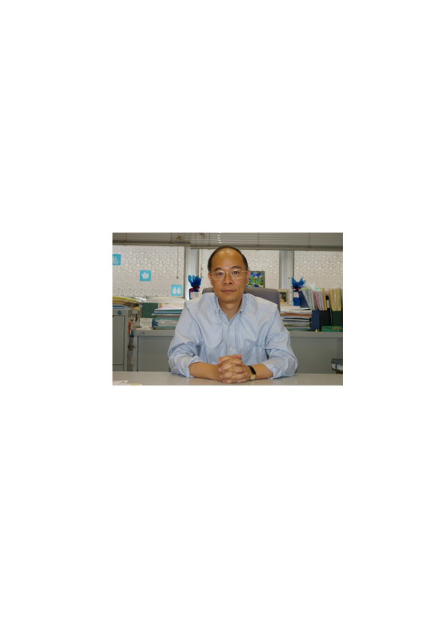